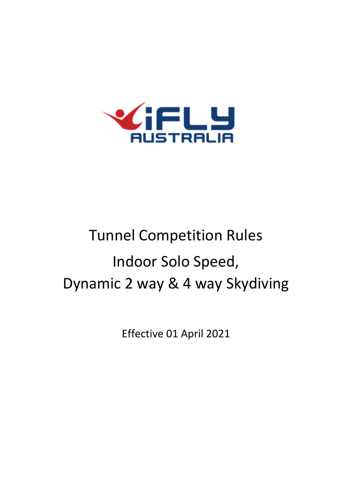

# Tunnel Competition Rules Indoor Solo Speed, Dynamic 2 way & 4 way Skydiving

Effective 01 April 2021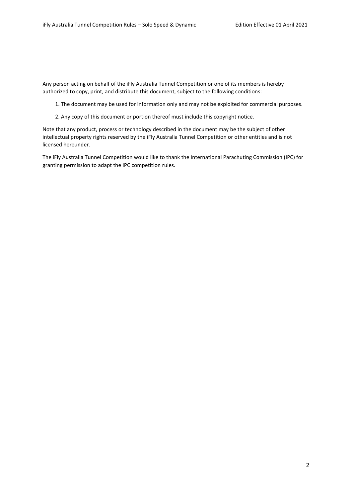Any person acting on behalf of the iFly Australia Tunnel Competition or one of its members is hereby authorized to copy, print, and distribute this document, subject to the following conditions:

1. The document may be used for information only and may not be exploited for commercial purposes.

2. Any copy of this document or portion thereof must include this copyright notice.

Note that any product, process or technology described in the document may be the subject of other intellectual property rights reserved by the iFly Australia Tunnel Competition or other entities and is not licensed hereunder.

The iFly Australia Tunnel Competition would like to thank the International Parachuting Commission (IPC) for granting permission to adapt the IPC competition rules.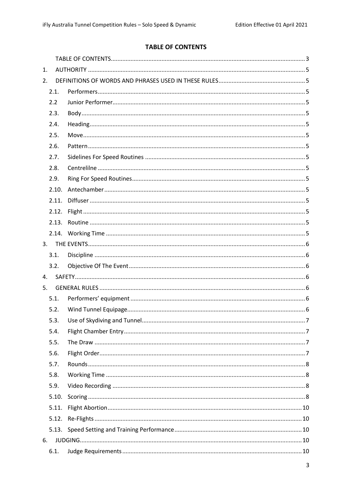# **TABLE OF CONTENTS**

<span id="page-2-0"></span>

| 1. |       |  |
|----|-------|--|
| 2. |       |  |
|    | 2.1.  |  |
|    | 2.2   |  |
|    | 2.3.  |  |
|    | 2.4.  |  |
|    | 2.5.  |  |
|    | 2.6.  |  |
|    | 2.7.  |  |
|    | 2.8.  |  |
|    | 2.9.  |  |
|    | 2.10. |  |
|    | 2.11. |  |
|    | 2.12. |  |
|    | 2.13. |  |
|    |       |  |
| 3. |       |  |
|    | 3.1.  |  |
|    | 3.2.  |  |
| 4. |       |  |
| 5. |       |  |
|    | 5.1.  |  |
|    | 5.2.  |  |
|    | 5.3.  |  |
|    | 5.4.  |  |
|    | 5.5.  |  |
|    | 5.6.  |  |
|    | 5.7.  |  |
|    | 5.8.  |  |
|    | 5.9.  |  |
|    | 5.10. |  |
|    | 5.11. |  |
|    | 5.12. |  |
|    | 5.13. |  |
| 6. |       |  |
|    | 6.1.  |  |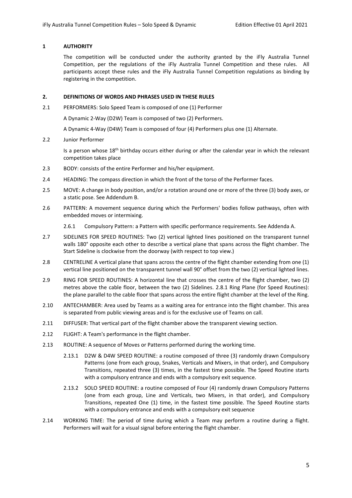#### **1 AUTHORITY**

The competition will be conducted under the authority granted by the iFly Australia Tunnel Competition, per the regulations of the iFly Australia Tunnel Competition and these rules. All participants accept these rules and the iFly Australia Tunnel Competition regulations as binding by registering in the competition.

#### **2. DEFINITIONS OF WORDS AND PHRASES USED IN THESE RULES**

2.1 PERFORMERS: Solo Speed Team is composed of one (1) Performer

A Dynamic 2-Way (D2W) Team is composed of two (2) Performers.

A Dynamic 4-Way (D4W) Team is composed of four (4) Performers plus one (1) Alternate.

2.2 Junior Performer

Is a person whose 18<sup>th</sup> birthday occurs either during or after the calendar year in which the relevant competition takes place

- 2.3 BODY: consists of the entire Performer and his/her equipment.
- 2.4 HEADING: The compass direction in which the front of the torso of the Performer faces.
- 2.5 MOVE: A change in body position, and/or a rotation around one or more of the three (3) body axes, or a static pose. See Addendum B.
- 2.6 PATTERN: A movement sequence during which the Performers' bodies follow pathways, often with embedded moves or intermixing.
	- 2.6.1 Compulsory Pattern: a Pattern with specific performance requirements. See Addenda A.
- 2.7 SIDELINES FOR SPEED ROUTINES: Two (2) vertical lighted lines positioned on the transparent tunnel walls 180° opposite each other to describe a vertical plane that spans across the flight chamber. The Start Sideline is clockwise from the doorway (with respect to top view.)
- 2.8 CENTRELINE A vertical plane that spans across the centre of the flight chamber extending from one (1) vertical line positioned on the transparent tunnel wall 90° offset from the two (2) vertical lighted lines.
- 2.9 RING FOR SPEED ROUTINES: A horizontal line that crosses the centre of the flight chamber, two (2) metres above the cable floor, between the two (2) Sidelines. 2.8.1 Ring Plane (for Speed Routines): the plane parallel to the cable floor that spans across the entire flight chamber at the level of the Ring.
- 2.10 ANTECHAMBER: Area used by Teams as a waiting area for entrance into the flight chamber. This area is separated from public viewing areas and is for the exclusive use of Teams on call.
- 2.11 DIFFUSER: That vertical part of the flight chamber above the transparent viewing section.
- 2.12 FLIGHT: A Team's performance in the flight chamber.
- 2.13 ROUTINE: A sequence of Moves or Patterns performed during the working time.
	- 2.13.1 D2W & D4W SPEED ROUTINE: a routine composed of three (3) randomly drawn Compulsory Patterns (one from each group, Snakes, Verticals and Mixers, in that order), and Compulsory Transitions, repeated three (3) times, in the fastest time possible. The Speed Routine starts with a compulsory entrance and ends with a compulsory exit sequence.
	- 2.13.2 SOLO SPEED ROUTINE: a routine composed of Four (4) randomly drawn Compulsory Patterns (one from each group, Line and Verticals, two Mixers, in that order), and Compulsory Transitions, repeated One (1) time, in the fastest time possible. The Speed Routine starts with a compulsory entrance and ends with a compulsory exit sequence
- 2.14 WORKING TIME: The period of time during which a Team may perform a routine during a flight. Performers will wait for a visual signal before entering the flight chamber.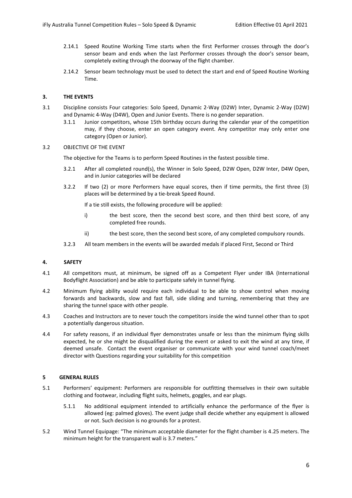- 2.14.1 Speed Routine Working Time starts when the first Performer crosses through the door's sensor beam and ends when the last Performer crosses through the door's sensor beam, completely exiting through the doorway of the flight chamber.
- 2.14.2 Sensor beam technology must be used to detect the start and end of Speed Routine Working Time.

### **3. THE EVENTS**

- 3.1 Discipline consists Four categories: Solo Speed, Dynamic 2-Way (D2W) Inter, Dynamic 2-Way (D2W) and Dynamic 4-Way (D4W), Open and Junior Events. There is no gender separation.
	- 3.1.1 Junior competitors, whose 15th birthday occurs during the calendar year of the competition may, if they choose, enter an open category event. Any competitor may only enter one category (Open or Junior).

#### 3.2 OBJECTIVE OF THE EVENT

The objective for the Teams is to perform Speed Routines in the fastest possible time.

- 3.2.1 After all completed round(s), the Winner in Solo Speed, D2W Open, D2W Inter, D4W Open, and in Junior categories will be declared
- 3.2.2 If two (2) or more Performers have equal scores, then if time permits, the first three (3) places will be determined by a tie-break Speed Round.

If a tie still exists, the following procedure will be applied:

- i) the best score, then the second best score, and then third best score, of any completed free rounds.
- ii) the best score, then the second best score, of any completed compulsory rounds.
- 3.2.3 All team members in the events will be awarded medals if placed First, Second or Third

#### <span id="page-5-0"></span>**4. SAFETY**

- 4.1 All competitors must, at minimum, be signed off as a Competent Flyer under IBA (International Bodyflight Association) and be able to participate safely in tunnel flying.
- 4.2 Minimum flying ability would require each individual to be able to show control when moving forwards and backwards, slow and fast fall, side sliding and turning, remembering that they are sharing the tunnel space with other people.
- 4.3 Coaches and Instructors are to never touch the competitors inside the wind tunnel other than to spot a potentially dangerous situation.
- 4.4 For safety reasons, if an individual flyer demonstrates unsafe or less than the minimum flying skills expected, he or she might be disqualified during the event or asked to exit the wind at any time, if deemed unsafe. Contact the event organiser or communicate with your wind tunnel coach/meet director with Questions regarding your suitability for this competition

#### **5 GENERAL RULES**

- 5.1 Performers' equipment: Performers are responsible for outfitting themselves in their own suitable clothing and footwear, including flight suits, helmets, goggles, and ear plugs.
	- 5.1.1 No additional equipment intended to artificially enhance the performance of the flyer is allowed (eg: palmed gloves). The event judge shall decide whether any equipment is allowed or not. Such decision is no grounds for a protest.
- 5.2 Wind Tunnel Equipage: "The minimum acceptable diameter for the flight chamber is 4.25 meters. The minimum height for the transparent wall is 3.7 meters."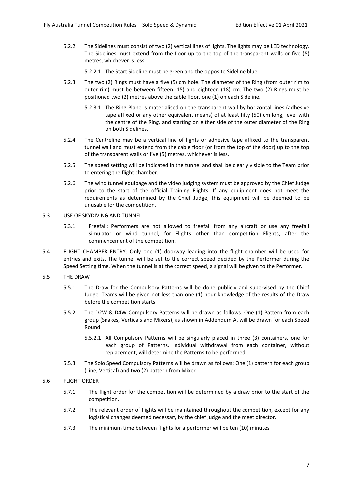- 5.2.2 The Sidelines must consist of two (2) vertical lines of lights. The lights may be LED technology. The Sidelines must extend from the floor up to the top of the transparent walls or five (5) metres, whichever is less.
	- 5.2.2.1 The Start Sideline must be green and the opposite Sideline blue.
- 5.2.3 The two (2) Rings must have a five (5) cm hole. The diameter of the Ring (from outer rim to outer rim) must be between fifteen (15) and eighteen (18) cm. The two (2) Rings must be positioned two (2) metres above the cable floor, one (1) on each Sideline.
	- 5.2.3.1 The Ring Plane is materialised on the transparent wall by horizontal lines (adhesive tape affixed or any other equivalent means) of at least fifty (50) cm long, level with the centre of the Ring, and starting on either side of the outer diameter of the Ring on both Sidelines.
- 5.2.4 The Centreline may be a vertical line of lights or adhesive tape affixed to the transparent tunnel wall and must extend from the cable floor (or from the top of the door) up to the top of the transparent walls or five (5) metres, whichever is less.
- 5.2.5 The speed setting will be indicated in the tunnel and shall be clearly visible to the Team prior to entering the flight chamber.
- 5.2.6 The wind tunnel equipage and the video judging system must be approved by the Chief Judge prior to the start of the official Training Flights. If any equipment does not meet the requirements as determined by the Chief Judge, this equipment will be deemed to be unusable for the competition.
- 5.3 USE OF SKYDIVING AND TUNNEL
	- 5.3.1 Freefall: Performers are not allowed to freefall from any aircraft or use any freefall simulator or wind tunnel, for Flights other than competition Flights, after the commencement of the competition.
- 5.4 FLIGHT CHAMBER ENTRY: Only one (1) doorway leading into the flight chamber will be used for entries and exits. The tunnel will be set to the correct speed decided by the Performer during the Speed Setting time. When the tunnel is at the correct speed, a signal will be given to the Performer.
- 5.5 THE DRAW
	- 5.5.1 The Draw for the Compulsory Patterns will be done publicly and supervised by the Chief Judge. Teams will be given not less than one (1) hour knowledge of the results of the Draw before the competition starts.
	- 5.5.2 The D2W & D4W Compulsory Patterns will be drawn as follows: One (1) Pattern from each group (Snakes, Verticals and Mixers), as shown in Addendum A, will be drawn for each Speed Round.
		- 5.5.2.1 All Compulsory Patterns will be singularly placed in three (3) containers, one for each group of Patterns. Individual withdrawal from each container, without replacement, will determine the Patterns to be performed.
	- 5.5.3 The Solo Speed Compulsory Patterns will be drawn as follows: One (1) pattern for each group (Line, Vertical) and two (2) pattern from Mixer

#### 5.6 FLIGHT ORDER

- 5.7.1 The flight order for the competition will be determined by a draw prior to the start of the competition.
- 5.7.2 The relevant order of flights will be maintained throughout the competition, except for any logistical changes deemed necessary by the chief judge and the meet director.
- 5.7.3 The minimum time between flights for a performer will be ten (10) minutes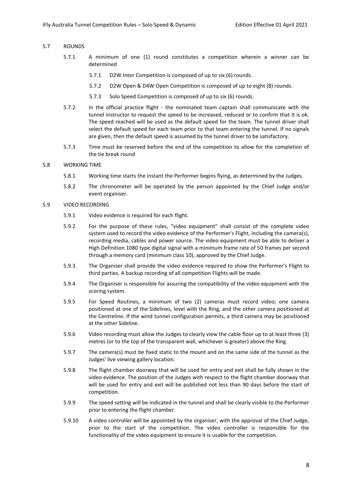#### 5.7 ROUNDS

- 5.7.1 A minimum of one (1) round constitutes a competition wherein a winner can be determined
	- 5.7.1 D2W Inter Competition is composed of up to six (6) rounds.
	- 5.7.2 D2W Open & D4W Open Competition is composed of up to eight (8) rounds.
	- 5.7.3 Solo Speed Competition is composed of up to six (6) rounds.
- 5.7.2 In the official practice flight the nominated team captain shall communicate with the tunnel instructor to request the speed to be increased, reduced or to confirm that it is ok. The speed reached will be used as the default speed for the team. The tunnel driver shall select the default speed for each team prior to that team entering the tunnel. If no signals are given, then the default speed is assumed by the tunnel driver to be satisfactory.
- 5.7.3 Time must be reserved before the end of the competition to allow for the completion of the tie break round

#### 5.8 WORKING TIME

- 5.8.1 Working time starts the instant the Performer begins flying, as determined by the Judges.
- 5.8.2 The chronometer will be operated by the person appointed by the Chief Judge and/or event organiser.

#### 5.9 VIDEO RECORDING

- 5.9.1 Video evidence is required for each flight.
- 5.9.2 For the purpose of these rules, "video equipment" shall consist of the complete video system used to record the video evidence of the Performer's Flight, including the camera(s), recording media, cables and power source. The video equipment must be able to deliver a High Definition 1080 type digital signal with a minimum frame rate of 50 frames per second through a memory card (minimum class 10), approved by the Chief Judge.
- 5.9.3 The Organiser shall provide the video evidence required to show the Performer's Flight to third parties. A backup recording of all competition Flights will be made.
- 5.9.4 The Organiser is responsible for assuring the compatibility of the video equipment with the scoring system.
- 5.9.5 For Speed Routines, a minimum of two (2) cameras must record video; one camera positioned at one of the Sidelines, level with the Ring, and the other camera positioned at the Centreline. If the wind tunnel configuration permits, a third camera may be positioned at the other Sideline.
- 5.9.6 Video recording must allow the Judges to clearly view the cable floor up to at least three (3) metres (or to the top of the transparent wall, whichever is greater) above the Ring.
- 5.9.7 The camera(s) must be fixed static to the mount and on the same side of the tunnel as the Judges' live viewing gallery location.
- 5.9.8 The flight chamber doorway that will be used for entry and exit shall be fully shown in the video evidence. The position of the Judges with respect to the flight chamber doorway that will be used for entry and exit will be published not less than 90 days before the start of competition.
- 5.9.9 The speed setting will be indicated in the tunnel and shall be clearly visible to the Performer prior to entering the flight chamber.
- 5.9.10 A video controller will be appointed by the organiser, with the approval of the Chief Judge, prior to the start of the competition. The video controller is responsible for the functionality of the video equipment to ensure it is usable for the competition.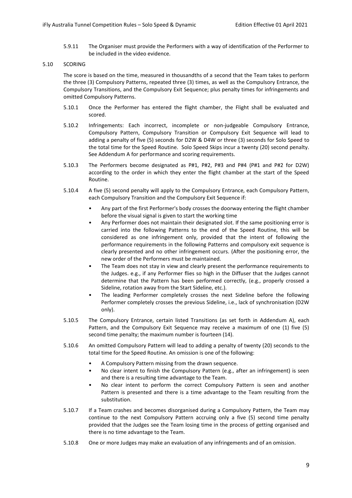5.9.11 The Organiser must provide the Performers with a way of identification of the Performer to be included in the video evidence.

#### 5.10 SCORING

The score is based on the time, measured in thousandths of a second that the Team takes to perform the three (3) Compulsory Patterns, repeated three (3) times, as well as the Compulsory Entrance, the Compulsory Transitions, and the Compulsory Exit Sequence; plus penalty times for infringements and omitted Compulsory Patterns.

- 5.10.1 Once the Performer has entered the flight chamber, the Flight shall be evaluated and scored.
- 5.10.2 Infringements: Each incorrect, incomplete or non-judgeable Compulsory Entrance, Compulsory Pattern, Compulsory Transition or Compulsory Exit Sequence will lead to adding a penalty of five (5) seconds for D2W & D4W or three (3) seconds for Solo Speed to the total time for the Speed Routine. Solo Speed Skips incur a twenty (20) second penalty. See Addendum A for performance and scoring requirements.
- 5.10.3 The Performers become designated as P#1, P#2, P#3 and P#4 (P#1 and P#2 for D2W) according to the order in which they enter the flight chamber at the start of the Speed Routine.
- 5.10.4 A five (5) second penalty will apply to the Compulsory Entrance, each Compulsory Pattern, each Compulsory Transition and the Compulsory Exit Sequence if:
	- Any part of the first Performer's body crosses the doorway entering the flight chamber before the visual signal is given to start the working time
	- Any Performer does not maintain their designated slot. If the same positioning error is carried into the following Patterns to the end of the Speed Routine, this will be considered as one infringement only, provided that the intent of following the performance requirements in the following Patterns and compulsory exit sequence is clearly presented and no other infringement occurs. (After the positioning error, the new order of the Performers must be maintained.
	- The Team does not stay in view and clearly present the performance requirements to the Judges. e.g., if any Performer flies so high in the Diffuser that the Judges cannot determine that the Pattern has been performed correctly, (e.g., properly crossed a Sideline, rotation away from the Start Sideline, etc.).
	- The leading Performer completely crosses the next Sideline before the following Performer completely crosses the previous Sideline, i.e., lack of synchronisation (D2W only).
- 5.10.5 The Compulsory Entrance, certain listed Transitions (as set forth in Addendum A), each Pattern, and the Compulsory Exit Sequence may receive a maximum of one (1) five (5) second time penalty; the maximum number is fourteen (14).
- 5.10.6 An omitted Compulsory Pattern will lead to adding a penalty of twenty (20) seconds to the total time for the Speed Routine. An omission is one of the following:
	- A Compulsory Pattern missing from the drawn sequence.
	- No clear intent to finish the Compulsory Pattern (e.g., after an infringement) is seen and there is a resulting time advantage to the Team.
	- No clear intent to perform the correct Compulsory Pattern is seen and another Pattern is presented and there is a time advantage to the Team resulting from the substitution.
- 5.10.7 If a Team crashes and becomes disorganised during a Compulsory Pattern, the Team may continue to the next Compulsory Pattern accruing only a five (5) second time penalty provided that the Judges see the Team losing time in the process of getting organised and there is no time advantage to the Team.
- 5.10.8 One or more Judges may make an evaluation of any infringements and of an omission.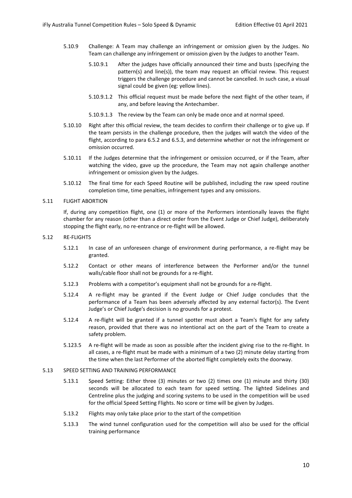- 5.10.9 Challenge: A Team may challenge an infringement or omission given by the Judges. No Team can challenge any infringement or omission given by the Judges to another Team.
	- 5.10.9.1 After the judges have officially announced their time and busts (specifying the pattern(s) and line(s)), the team may request an official review. This request triggers the challenge procedure and cannot be cancelled. In such case, a visual signal could be given (eg: yellow lines).
	- 5.10.9.1.2 This official request must be made before the next flight of the other team, if any, and before leaving the Antechamber.
	- 5.10.9.1.3 The review by the Team can only be made once and at normal speed.
- 5.10.10 Right after this official review, the team decides to confirm their challenge or to give up. If the team persists in the challenge procedure, then the judges will watch the video of the flight, according to para 6.5.2 and 6.5.3, and determine whether or not the infringement or omission occurred.
- 5.10.11 If the Judges determine that the infringement or omission occurred, or if the Team, after watching the video, gave up the procedure, the Team may not again challenge another infringement or omission given by the Judges.
- 5.10.12 The final time for each Speed Routine will be published, including the raw speed routine completion time, time penalties, infringement types and any omissions.
- 5.11 FLIGHT ABORTION

If, during any competition flight, one (1) or more of the Performers intentionally leaves the flight chamber for any reason (other than a direct order from the Event Judge or Chief Judge), deliberately stopping the flight early, no re-entrance or re-flight will be allowed.

- 5.12 RE-FLIGHTS
	- 5.12.1 In case of an unforeseen change of environment during performance, a re-flight may be granted.
	- 5.12.2 Contact or other means of interference between the Performer and/or the tunnel walls/cable floor shall not be grounds for a re-flight.
	- 5.12.3 Problems with a competitor's equipment shall not be grounds for a re-flight.
	- 5.12.4 A re-flight may be granted if the Event Judge or Chief Judge concludes that the performance of a Team has been adversely affected by any external factor(s). The Event Judge's or Chief Judge's decision is no grounds for a protest.
	- 5.12.4 A re-flight will be granted if a tunnel spotter must abort a Team's flight for any safety reason, provided that there was no intentional act on the part of the Team to create a safety problem.
	- 5.123.5 A re-flight will be made as soon as possible after the incident giving rise to the re-flight. In all cases, a re-flight must be made with a minimum of a two (2) minute delay starting from the time when the last Performer of the aborted flight completely exits the doorway.

#### 5.13 SPEED SETTING AND TRAINING PERFORMANCE

- 5.13.1 Speed Setting: Either three (3) minutes or two (2) times one (1) minute and thirty (30) seconds will be allocated to each team for speed setting. The lighted Sidelines and Centreline plus the judging and scoring systems to be used in the competition will be used for the official Speed Setting Flights. No score or time will be given by Judges.
- 5.13.2 Flights may only take place prior to the start of the competition
- 5.13.3 The wind tunnel configuration used for the competition will also be used for the official training performance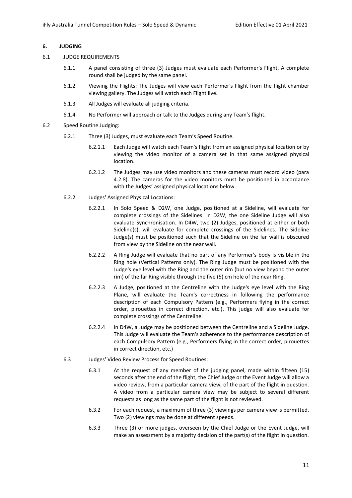#### **6. JUDGING**

#### 6.1 JUDGE REQUIREMENTS

- 6.1.1 A panel consisting of three (3) Judges must evaluate each Performer's Flight. A complete round shall be judged by the same panel.
- 6.1.2 Viewing the Flights: The Judges will view each Performer's Flight from the flight chamber viewing gallery. The Judges will watch each Flight live.
- 6.1.3 All Judges will evaluate all judging criteria.
- 6.1.4 No Performer will approach or talk to the Judges during any Team's flight.
- 6.2 Speed Routine Judging:
	- 6.2.1 Three (3) Judges, must evaluate each Team's Speed Routine.
		- 6.2.1.1 Each Judge will watch each Team's flight from an assigned physical location or by viewing the video monitor of a camera set in that same assigned physical location.
		- 6.2.1.2 The Judges may use video monitors and these cameras must record video (para 4.2.8). The cameras for the video monitors must be positioned in accordance with the Judges' assigned physical locations below.
	- 6.2.2 Judges' Assigned Physical Locations:
		- 6.2.2.1 In Solo Speed & D2W, one Judge, positioned at a Sideline, will evaluate for complete crossings of the Sidelines. In D2W, the one Sideline Judge will also evaluate Synchronisation. In D4W, two (2) Judges, positioned at either or both Sideline(s), will evaluate for complete crossings of the Sidelines. The Sideline Judge(s) must be positioned such that the Sideline on the far wall is obscured from view by the Sideline on the near wall.
		- 6.2.2.2 A Ring Judge will evaluate that no part of any Performer's body is visible in the Ring hole (Vertical Patterns only). The Ring Judge must be positioned with the Judge's eye level with the Ring and the outer rim (but no view beyond the outer rim) of the far Ring visible through the five (5) cm hole of the near Ring.
		- 6.2.2.3 A Judge, positioned at the Centreline with the Judge's eye level with the Ring Plane, will evaluate the Team's correctness in following the performance description of each Compulsory Pattern (e.g., Performers flying in the correct order, pirouettes in correct direction, etc.). This judge will also evaluate for complete crossings of the Centreline.
		- 6.2.2.4 In D4W, a Judge may be positioned between the Centreline and a Sideline Judge. This Judge will evaluate the Team's adherence to the performance description of each Compulsory Pattern (e.g., Performers flying in the correct order, pirouettes in correct direction, etc.)
	- 6.3 Judges' Video Review Process for Speed Routines:
		- 6.3.1 At the request of any member of the judging panel, made within fifteen (15) seconds after the end of the flight, the Chief Judge or the Event Judge will allow a video review, from a particular camera view, of the part of the flight in question. A video from a particular camera view may be subject to several different requests as long as the same part of the flight is not reviewed.
		- 6.3.2 For each request, a maximum of three (3) viewings per camera view is permitted. Two (2) viewings may be done at different speeds.
		- 6.3.3 Three (3) or more judges, overseen by the Chief Judge or the Event Judge, will make an assessment by a majority decision of the part(s) of the flight in question.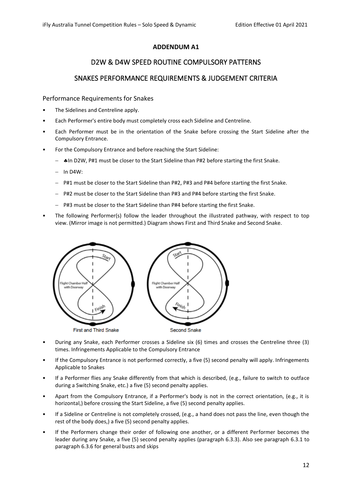# **ADDENDUM A1**

# D2W & D4W SPEED ROUTINE COMPULSORY PATTERNS

# <span id="page-11-1"></span><span id="page-11-0"></span>SNAKES PERFORMANCE REQUIREMENTS & JUDGEMENT CRITERIA

Performance Requirements for Snakes

- The Sidelines and Centreline apply.
- Each Performer's entire body must completely cross each Sideline and Centreline.
- Each Performer must be in the orientation of the Snake before crossing the Start Sideline after the Compulsory Entrance.
- For the Compulsory Entrance and before reaching the Start Sideline:
	- − In D2W, P#1 must be closer to the Start Sideline than P#2 before starting the first Snake.
	- − In D4W:
	- − P#1 must be closer to the Start Sideline than P#2, P#3 and P#4 before starting the first Snake.
	- − P#2 must be closer to the Start Sideline than P#3 and P#4 before starting the first Snake.
	- − P#3 must be closer to the Start Sideline than P#4 before starting the first Snake.
- The following Performer(s) follow the leader throughout the illustrated pathway, with respect to top view. (Mirror image is not permitted.) Diagram shows First and Third Snake and Second Snake.



- During any Snake, each Performer crosses a Sideline six (6) times and crosses the Centreline three (3) times. Infringements Applicable to the Compulsory Entrance
- If the Compulsory Entrance is not performed correctly, a five (5) second penalty will apply. Infringements Applicable to Snakes
- If a Performer flies any Snake differently from that which is described, (e.g., failure to switch to outface during a Switching Snake, etc.) a five (5) second penalty applies.
- Apart from the Compulsory Entrance, if a Performer's body is not in the correct orientation, (e.g., it is horizontal,) before crossing the Start Sideline, a five (5) second penalty applies.
- If a Sideline or Centreline is not completely crossed, (e.g., a hand does not pass the line, even though the rest of the body does,) a five (5) second penalty applies.
- If the Performers change their order of following one another, or a different Performer becomes the leader during any Snake, a five (5) second penalty applies (paragraph 6.3.3). Also see paragraph 6.3.1 to paragraph 6.3.6 for general busts and skips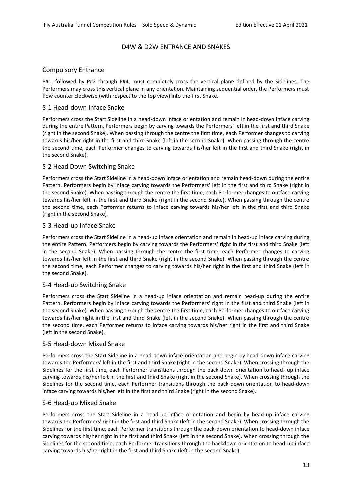# D4W & D2W ENTRANCE AND SNAKES

# Compulsory Entrance

P#1, followed by P#2 through P#4, must completely cross the vertical plane defined by the Sidelines. The Performers may cross this vertical plane in any orientation. Maintaining sequential order, the Performers must flow counter clockwise (with respect to the top view) into the first Snake.

# S-1 Head-down Inface Snake

Performers cross the Start Sideline in a head-down inface orientation and remain in head-down inface carving during the entire Pattern. Performers begin by carving towards the Performers' left in the first and third Snake (right in the second Snake). When passing through the centre the first time, each Performer changes to carving towards his/her right in the first and third Snake (left in the second Snake). When passing through the centre the second time, each Performer changes to carving towards his/her left in the first and third Snake (right in the second Snake).

# S-2 Head Down Switching Snake

Performers cross the Start Sideline in a head-down inface orientation and remain head-down during the entire Pattern. Performers begin by inface carving towards the Performers' left in the first and third Snake (right in the second Snake). When passing through the centre the first time, each Performer changes to outface carving towards his/her left in the first and third Snake (right in the second Snake). When passing through the centre the second time, each Performer returns to inface carving towards his/her left in the first and third Snake (right in the second Snake).

# S-3 Head-up Inface Snake

Performers cross the Start Sideline in a head-up inface orientation and remain in head-up inface carving during the entire Pattern. Performers begin by carving towards the Performers' right in the first and third Snake (left in the second Snake). When passing through the centre the first time, each Performer changes to carving towards his/her left in the first and third Snake (right in the second Snake). When passing through the centre the second time, each Performer changes to carving towards his/her right in the first and third Snake (left in the second Snake).

# S-4 Head-up Switching Snake

Performers cross the Start Sideline in a head-up inface orientation and remain head-up during the entire Pattern. Performers begin by inface carving towards the Performers' right in the first and third Snake (left in the second Snake). When passing through the centre the first time, each Performer changes to outface carving towards his/her right in the first and third Snake (left in the second Snake). When passing through the centre the second time, each Performer returns to inface carving towards his/her right in the first and third Snake (left in the second Snake).

# S-5 Head-down Mixed Snake

Performers cross the Start Sideline in a head-down inface orientation and begin by head-down inface carving towards the Performers' left in the first and third Snake (right in the second Snake). When crossing through the Sidelines for the first time, each Performer transitions through the back down orientation to head- up inface carving towards his/her left in the first and third Snake (right in the second Snake). When crossing through the Sidelines for the second time, each Performer transitions through the back-down orientation to head-down inface carving towards his/her left in the first and third Snake (right in the second Snake).

# S-6 Head-up Mixed Snake

Performers cross the Start Sideline in a head-up inface orientation and begin by head-up inface carving towards the Performers' right in the first and third Snake (left in the second Snake). When crossing through the Sidelines for the first time, each Performer transitions through the back-down orientation to head-down inface carving towards his/her right in the first and third Snake (left in the second Snake). When crossing through the Sidelines for the second time, each Performer transitions through the backdown orientation to head-up inface carving towards his/her right in the first and third Snake (left in the second Snake).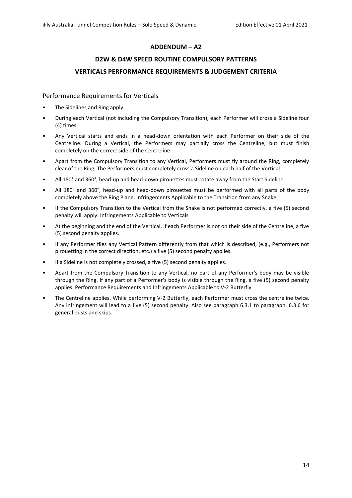# **ADDENDUM – A2**

# **D2W & D4W SPEED ROUTINE COMPULSORY PATTERNS VERTICALS PERFORMANCE REQUIREMENTS & JUDGEMENT CRITERIA**

# Performance Requirements for Verticals

- The Sidelines and Ring apply.
- During each Vertical (not including the Compulsory Transition), each Performer will cross a Sideline four (4) times.
- Any Vertical starts and ends in a head-down orientation with each Performer on their side of the Centreline. During a Vertical, the Performers may partially cross the Centreline, but must finish completely on the correct side of the Centreline.
- Apart from the Compulsory Transition to any Vertical, Performers must fly around the Ring, completely clear of the Ring. The Performers must completely cross a Sideline on each half of the Vertical.
- All 180° and 360°, head-up and head-down pirouettes must rotate away from the Start Sideline.
- All 180° and 360°, head-up and head-down pirouettes must be performed with all parts of the body completely above the Ring Plane. Infringements Applicable to the Transition from any Snake
- If the Compulsory Transition to the Vertical from the Snake is not performed correctly, a five (5) second penalty will apply. Infringements Applicable to Verticals
- At the beginning and the end of the Vertical, if each Performer is not on their side of the Centreline, a five (5) second penalty applies.
- If any Performer flies any Vertical Pattern differently from that which is described, (e.g., Performers not pirouetting in the correct direction, etc.) a five (5) second penalty applies.
- If a Sideline is not completely crossed, a five (5) second penalty applies.
- Apart from the Compulsory Transition to any Vertical, no part of any Performer's body may be visible through the Ring. If any part of a Performer's body is visible through the Ring, a five (5) second penalty applies. Performance Requirements and Infringements Applicable to V-2 Butterfly
- The Centreline applies. While performing V-2 Butterfly, each Performer must cross the centreline twice. Any infringement will lead to a five (5) second penalty. Also see paragraph 6.3.1 to paragraph. 6.3.6 for general busts and skips.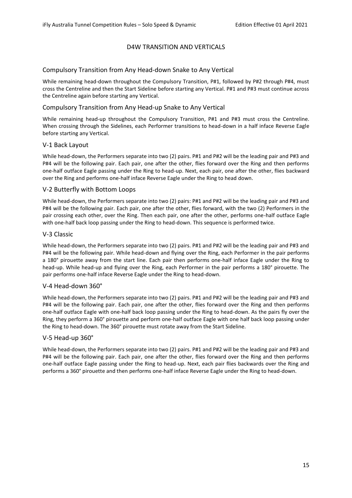# D4W TRANSITION AND VERTICALS

# Compulsory Transition from Any Head-down Snake to Any Vertical

While remaining head-down throughout the Compulsory Transition, P#1, followed by P#2 through P#4, must cross the Centreline and then the Start Sideline before starting any Vertical. P#1 and P#3 must continue across the Centreline again before starting any Vertical.

# Compulsory Transition from Any Head-up Snake to Any Vertical

While remaining head-up throughout the Compulsory Transition, P#1 and P#3 must cross the Centreline. When crossing through the Sidelines, each Performer transitions to head-down in a half inface Reverse Eagle before starting any Vertical.

#### V-1 Back Layout

While head-down, the Performers separate into two (2) pairs. P#1 and P#2 will be the leading pair and P#3 and P#4 will be the following pair. Each pair, one after the other, flies forward over the Ring and then performs one-half outface Eagle passing under the Ring to head-up. Next, each pair, one after the other, flies backward over the Ring and performs one-half inface Reverse Eagle under the Ring to head down.

# V-2 Butterfly with Bottom Loops

While head-down, the Performers separate into two (2) pairs: P#1 and P#2 will be the leading pair and P#3 and P#4 will be the following pair. Each pair, one after the other, flies forward, with the two (2) Performers in the pair crossing each other, over the Ring. Then each pair, one after the other, performs one-half outface Eagle with one-half back loop passing under the Ring to head-down. This sequence is performed twice.

# V-3 Classic

While head-down, the Performers separate into two (2) pairs. P#1 and P#2 will be the leading pair and P#3 and P#4 will be the following pair. While head-down and flying over the Ring, each Performer in the pair performs a 180° pirouette away from the start line. Each pair then performs one-half inface Eagle under the Ring to head-up. While head-up and flying over the Ring, each Performer in the pair performs a 180° pirouette. The pair performs one-half inface Reverse Eagle under the Ring to head-down.

#### V-4 Head-down 360°

While head-down, the Performers separate into two (2) pairs. P#1 and P#2 will be the leading pair and P#3 and P#4 will be the following pair. Each pair, one after the other, flies forward over the Ring and then performs one-half outface Eagle with one-half back loop passing under the Ring to head-down. As the pairs fly over the Ring, they perform a 360° pirouette and perform one-half outface Eagle with one half back loop passing under the Ring to head-down. The 360° pirouette must rotate away from the Start Sideline.

#### V-5 Head-up 360°

While head-down, the Performers separate into two (2) pairs. P#1 and P#2 will be the leading pair and P#3 and P#4 will be the following pair. Each pair, one after the other, flies forward over the Ring and then performs one-half outface Eagle passing under the Ring to head-up. Next, each pair flies backwards over the Ring and performs a 360° pirouette and then performs one-half inface Reverse Eagle under the Ring to head-down.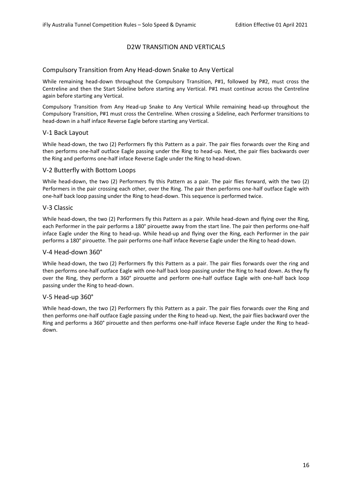# D2W TRANSITION AND VERTICALS

# Compulsory Transition from Any Head-down Snake to Any Vertical

While remaining head-down throughout the Compulsory Transition, P#1, followed by P#2, must cross the Centreline and then the Start Sideline before starting any Vertical. P#1 must continue across the Centreline again before starting any Vertical.

Compulsory Transition from Any Head-up Snake to Any Vertical While remaining head-up throughout the Compulsory Transition, P#1 must cross the Centreline. When crossing a Sideline, each Performer transitions to head-down in a half inface Reverse Eagle before starting any Vertical.

#### V-1 Back Layout

While head-down, the two (2) Performers fly this Pattern as a pair. The pair flies forwards over the Ring and then performs one-half outface Eagle passing under the Ring to head-up. Next, the pair flies backwards over the Ring and performs one-half inface Reverse Eagle under the Ring to head-down.

# V-2 Butterfly with Bottom Loops

While head-down, the two (2) Performers fly this Pattern as a pair. The pair flies forward, with the two (2) Performers in the pair crossing each other, over the Ring. The pair then performs one-half outface Eagle with one-half back loop passing under the Ring to head-down. This sequence is performed twice.

#### V-3 Classic

While head-down, the two (2) Performers fly this Pattern as a pair. While head-down and flying over the Ring, each Performer in the pair performs a 180° pirouette away from the start line. The pair then performs one-half inface Eagle under the Ring to head-up. While head-up and flying over the Ring, each Performer in the pair performs a 180° pirouette. The pair performs one-half inface Reverse Eagle under the Ring to head-down.

#### V-4 Head-down 360°

While head-down, the two (2) Performers fly this Pattern as a pair. The pair flies forwards over the ring and then performs one-half outface Eagle with one-half back loop passing under the Ring to head down. As they fly over the Ring, they perform a 360° pirouette and perform one-half outface Eagle with one-half back loop passing under the Ring to head-down.

#### V-5 Head-up 360°

While head-down, the two (2) Performers fly this Pattern as a pair. The pair flies forwards over the Ring and then performs one-half outface Eagle passing under the Ring to head-up. Next, the pair flies backward over the Ring and performs a 360° pirouette and then performs one-half inface Reverse Eagle under the Ring to headdown.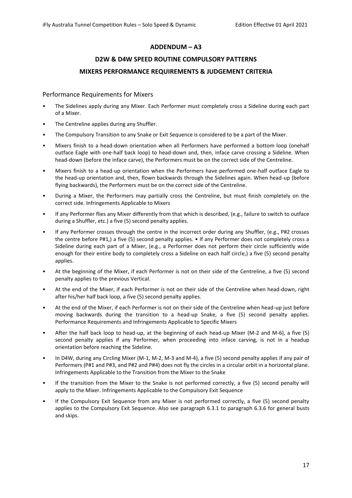# **ADDENDUM – A3**

# **D2W & D4W SPEED ROUTINE COMPULSORY PATTERNS MIXERS PERFORMANCE REQUIREMENTS & JUDGEMENT CRITERIA**

### Performance Requirements for Mixers

- The Sidelines apply during any Mixer. Each Performer must completely cross a Sideline during each part of a Mixer.
- The Centreline applies during any Shuffler.
- The Compulsory Transition to any Snake or Exit Sequence is considered to be a part of the Mixer.
- Mixers finish to a head-down orientation when all Performers have performed a bottom loop (onehalf outface Eagle with one-half back loop) to head-down and, then, inface carve crossing a Sideline. When head-down (before the inface carve), the Performers must be on the correct side of the Centreline.
- Mixers finish to a head-up orientation when the Performers have performed one-half outface Eagle to the head-up orientation and, then, flown backwards through the Sidelines again. When head-up (before flying backwards), the Performers must be on the correct side of the Centreline.
- During a Mixer, the Performers may partially cross the Centreline, but must finish completely on the correct side. Infringements Applicable to Mixers
- If any Performer flies any Mixer differently from that which is described, (e.g., failure to switch to outface during a Shuffler, etc.) a five (5) second penalty applies.
- If any Performer crosses through the centre in the incorrect order during any Shuffler, (e.g., P#2 crosses the centre before P#1,) a five (5) second penalty applies. • If any Performer does not completely cross a Sideline during each part of a Mixer, (e.g., a Performer does not perform their circle sufficiently wide enough for their entire body to completely cross a Sideline on each half circle,) a five (5) second penalty applies.
- At the beginning of the Mixer, if each Performer is not on their side of the Centreline, a five (5) second penalty applies to the previous Vertical.
- At the end of the Mixer, if each Performer is not on their side of the Centreline when head-down, right after his/her half back loop, a five (5) second penalty applies.
- At the end of the Mixer, if each Performer is not on their side of the Centreline when head-up just before moving backwards during the transition to a head-up Snake, a five (5) second penalty applies. Performance Requirements and Infringements Applicable to Specific Mixers
- After the half back loop to head-up, at the beginning of each head-up Mixer (M-2 and M-6), a five (5) second penalty applies if any Performer, when proceeding into inface carving, is not in a headup orientation before reaching the Sideline.
- In D4W, during any Circling Mixer (M-1, M-2, M-3 and M-4), a five (5) second penalty applies if any pair of Performers (P#1 and P#3, and P#2 and P#4) does not fly the circles in a circular orbit in a horizontal plane. Infringements Applicable to the Transition from the Mixer to the Snake
- If the transition from the Mixer to the Snake is not performed correctly, a five (5) second penalty will apply to the Mixer. Infringements Applicable to the Compulsory Exit Sequence
- If the Compulsory Exit Sequence from any Mixer is not performed correctly, a five (5) second penalty applies to the Compulsory Exit Sequence. Also see paragraph 6.3.1 to paragraph 6.3.6 for general busts and skips.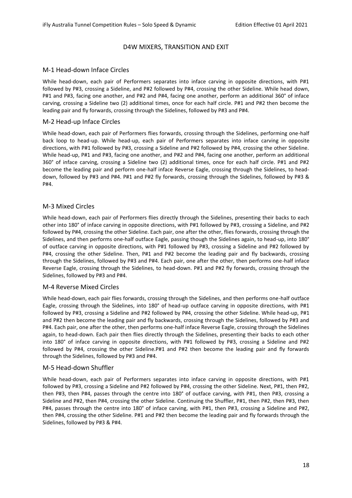# D4W MIXERS, TRANSITION AND EXIT

# M-1 Head-down Inface Circles

While head-down, each pair of Performers separates into inface carving in opposite directions, with P#1 followed by P#3, crossing a Sideline, and P#2 followed by P#4, crossing the other Sideline. While head down, P#1 and P#3, facing one another, and P#2 and P#4, facing one another, perform an additional 360° of inface carving, crossing a Sideline two (2) additional times, once for each half circle. P#1 and P#2 then become the leading pair and fly forwards, crossing through the Sidelines, followed by P#3 and P#4.

# M-2 Head-up Inface Circles

While head-down, each pair of Performers flies forwards, crossing through the Sidelines, performing one-half back loop to head-up. While head-up, each pair of Performers separates into inface carving in opposite directions, with P#1 followed by P#3, crossing a Sideline and P#2 followed by P#4, crossing the other Sideline. While head-up, P#1 and P#3, facing one another, and P#2 and P#4, facing one another, perform an additional 360° of inface carving, crossing a Sideline two (2) additional times, once for each half circle. P#1 and P#2 become the leading pair and perform one-half inface Reverse Eagle, crossing through the Sidelines, to headdown, followed by P#3 and P#4. P#1 and P#2 fly forwards, crossing through the Sidelines, followed by P#3 & P#4.

# M-3 Mixed Circles

While head-down, each pair of Performers flies directly through the Sidelines, presenting their backs to each other into 180° of inface carving in opposite directions, with P#1 followed by P#3, crossing a Sideline, and P#2 followed by P#4, crossing the other Sideline. Each pair, one after the other, flies forwards, crossing through the Sidelines, and then performs one-half outface Eagle, passing though the Sidelines again, to head-up, into 180° of outface carving in opposite directions, with P#1 followed by P#3, crossing a Sideline and P#2 followed by P#4, crossing the other Sideline. Then, P#1 and P#2 become the leading pair and fly backwards, crossing through the Sidelines, followed by P#3 and P#4. Each pair, one after the other, then performs one-half inface Reverse Eagle, crossing through the Sidelines, to head-down. P#1 and P#2 fly forwards, crossing through the Sidelines, followed by P#3 and P#4.

#### M-4 Reverse Mixed Circles

While head-down, each pair flies forwards, crossing through the Sidelines, and then performs one-half outface Eagle, crossing through the Sidelines, into 180° of head-up outface carving in opposite directions, with P#1 followed by P#3, crossing a Sideline and P#2 followed by P#4, crossing the other Sideline. While head-up, P#1 and P#2 then become the leading pair and fly backwards, crossing through the Sidelines, followed by P#3 and P#4. Each pair, one after the other, then performs one-half inface Reverse Eagle, crossing through the Sidelines again, to head-down. Each pair then flies directly through the Sidelines, presenting their backs to each other into 180° of inface carving in opposite directions, with P#1 followed by P#3, crossing a Sideline and P#2 followed by P#4, crossing the other Sideline.P#1 and P#2 then become the leading pair and fly forwards through the Sidelines, followed by P#3 and P#4.

# M-5 Head-down Shuffler

While head-down, each pair of Performers separates into inface carving in opposite directions, with P#1 followed by P#3, crossing a Sideline and P#2 followed by P#4, crossing the other Sideline. Next, P#1, then P#2, then P#3, then P#4, passes through the centre into 180° of outface carving, with P#1, then P#3, crossing a Sideline and P#2, then P#4, crossing the other Sideline. Continuing the Shuffler, P#1, then P#2, then P#3, then P#4, passes through the centre into 180° of inface carving, with P#1, then P#3, crossing a Sideline and P#2, then P#4, crossing the other Sideline. P#1 and P#2 then become the leading pair and fly forwards through the Sidelines, followed by P#3 & P#4.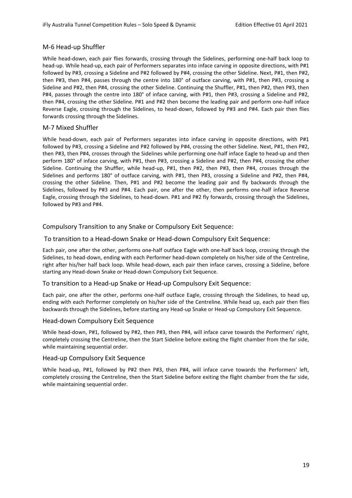# M-6 Head-up Shuffler

While head-down, each pair flies forwards, crossing through the Sidelines, performing one-half back loop to head-up. While head-up, each pair of Performers separates into inface carving in opposite directions, with P#1 followed by P#3, crossing a Sideline and P#2 followed by P#4, crossing the other Sideline. Next, P#1, then P#2, then P#3, then P#4, passes through the centre into 180° of outface carving, with P#1, then P#3, crossing a Sideline and P#2, then P#4, crossing the other Sideline. Continuing the Shuffler, P#1, then P#2, then P#3, then P#4, passes through the centre into 180° of inface carving, with P#1, then P#3, crossing a Sideline and P#2, then P#4, crossing the other Sideline. P#1 and P#2 then become the leading pair and perform one-half inface Reverse Eagle, crossing through the Sidelines, to head-down, followed by P#3 and P#4. Each pair then flies forwards crossing through the Sidelines.

# M-7 Mixed Shuffler

While head-down, each pair of Performers separates into inface carving in opposite directions, with P#1 followed by P#3, crossing a Sideline and P#2 followed by P#4, crossing the other Sideline. Next, P#1, then P#2, then P#3, then P#4, crosses through the Sidelines while performing one-half inface Eagle to head-up and then perform 180° of inface carving, with P#1, then P#3, crossing a Sideline and P#2, then P#4, crossing the other Sideline. Continuing the Shuffler, while head-up, P#1, then P#2, then P#3, then P#4, crosses through the Sidelines and performs 180° of outface carving, with P#1, then P#3, crossing a Sideline and P#2, then P#4, crossing the other Sideline. Then, P#1 and P#2 become the leading pair and fly backwards through the Sidelines, followed by P#3 and P#4. Each pair, one after the other, then performs one-half inface Reverse Eagle, crossing through the Sidelines, to head-down. P#1 and P#2 fly forwards, crossing through the Sidelines, followed by P#3 and P#4.

# Compulsory Transition to any Snake or Compulsory Exit Sequence:

# To transition to a Head-down Snake or Head-down Compulsory Exit Sequence:

Each pair, one after the other, performs one-half outface Eagle with one-half back loop, crossing through the Sidelines, to head-down, ending with each Performer head-down completely on his/her side of the Centreline, right after his/her half back loop. While head-down, each pair then inface carves, crossing a Sideline, before starting any Head-down Snake or Head-down Compulsory Exit Sequence.

# To transition to a Head-up Snake or Head-up Compulsory Exit Sequence:

Each pair, one after the other, performs one-half outface Eagle, crossing through the Sidelines, to head up, ending with each Performer completely on his/her side of the Centreline. While head up, each pair then flies backwards through the Sidelines, before starting any Head-up Snake or Head-up Compulsory Exit Sequence.

# Head-down Compulsory Exit Sequence

While head-down, P#1, followed by P#2, then P#3, then P#4, will inface carve towards the Performers' right, completely crossing the Centreline, then the Start Sideline before exiting the flight chamber from the far side, while maintaining sequential order.

# Head-up Compulsory Exit Sequence

While head-up, P#1, followed by P#2 then P#3, then P#4, will inface carve towards the Performers' left, completely crossing the Centreline, then the Start Sideline before exiting the flight chamber from the far side, while maintaining sequential order.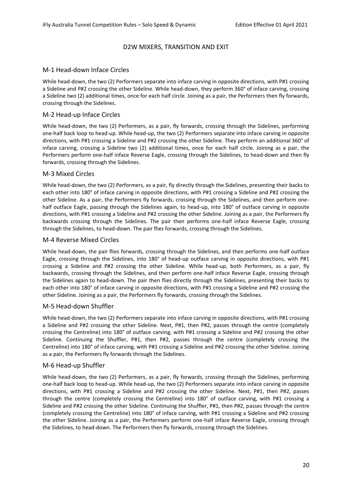# D2W MIXERS, TRANSITION AND EXIT

# M-1 Head-down Inface Circles

While head-down, the two (2) Performers separate into inface carving in opposite directions, with P#1 crossing a Sideline and P#2 crossing the other Sideline. While head-down, they perform 360° of inface carving, crossing a Sideline two (2) additional times, once for each half circle. Joining as a pair, the Performers then fly forwards, crossing through the Sidelines.

# M-2 Head-up Inface Circles

While head-down, the two (2) Performers, as a pair, fly forwards, crossing through the Sidelines, performing one-half back loop to head-up. While head-up, the two (2) Performers separate into inface carving in opposite directions, with P#1 crossing a Sideline and P#2 crossing the other Sideline. They perform an additional 360° of inface carving, crossing a Sideline two (2) additional times, once for each half circle. Joining as a pair, the Performers perform one-half inface Reverse Eagle, crossing through the Sidelines, to head-down and then fly forwards, crossing through the Sidelines.

#### M-3 Mixed Circles

While head-down, the two (2) Performers, as a pair, fly directly through the Sidelines, presenting their backs to each other into 180° of inface carving in opposite directions, with P#1 crossing a Sideline and P#2 crossing the other Sideline. As a pair, the Performers fly forwards, crossing through the Sidelines, and then perform onehalf outface Eagle, passing through the Sidelines again, to head-up, into 180° of outface carving in opposite directions, with P#1 crossing a Sideline and P#2 crossing the other Sideline. Joining as a pair, the Performers fly backwards crossing through the Sidelines. The pair then performs one-half inface Reverse Eagle, crossing through the Sidelines, to head-down. The pair flies forwards, crossing through the Sidelines.

# M-4 Reverse Mixed Circles

While head-down, the pair flies forwards, crossing through the Sidelines, and then performs one-half outface Eagle, crossing through the Sidelines, into 180° of head-up outface carving in opposite directions, with P#1 crossing a Sideline and P#2 crossing the other Sideline. While head-up, both Performers, as a pair, fly backwards, crossing through the Sidelines, and then perform one-half inface Reverse Eagle, crossing through the Sidelines again to head-down. The pair then flies directly through the Sidelines, presenting their backs to each other into 180° of inface carving in opposite directions, with P#1 crossing a Sideline and P#2 crossing the other Sideline. Joining as a pair, the Performers fly forwards, crossing through the Sidelines.

# M-5 Head-down Shuffler

While head-down, the two (2) Performers separate into inface carving in opposite directions, with P#1 crossing a Sideline and P#2 crossing the other Sideline. Next, P#1, then P#2, passes through the centre (completely crossing the Centreline) into 180° of outface carving, with P#1 crossing a Sideline and P#2 crossing the other Sideline. Continuing the Shuffler, P#1, then P#2, passes through the centre (completely crossing the Centreline) into 180° of inface carving, with P#1 crossing a Sideline and P#2 crossing the other Sideline. Joining as a pair, the Performers fly forwards through the Sidelines.

# M-6 Head-up Shuffler

While head-down, the two (2) Performers, as a pair, fly forwards, crossing through the Sidelines, performing one-half back loop to head-up. While head-up, the two (2) Performers separate into inface carving in opposite directions, with P#1 crossing a Sideline and P#2 crossing the other Sideline. Next, P#1, then P#2, passes through the centre (completely crossing the Centreline) into 180° of outface carving, with P#1 crossing a Sideline and P#2 crossing the other Sideline. Continuing the Shuffler, P#1, then P#2, passes through the centre (completely crossing the Centreline) into 180° of inface carving, with P#1 crossing a Sideline and P#2 crossing the other Sideline. Joining as a pair, the Performers perform one-half inface Reverse Eagle, crossing through the Sidelines, to head-down. The Performers then fly forwards, crossing through the Sidelines.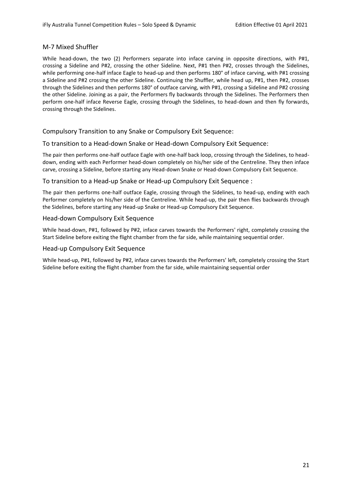# M-7 Mixed Shuffler

While head-down, the two (2) Performers separate into inface carving in opposite directions, with P#1, crossing a Sideline and P#2, crossing the other Sideline. Next, P#1 then P#2, crosses through the Sidelines, while performing one-half inface Eagle to head-up and then performs 180° of inface carving, with P#1 crossing a Sideline and P#2 crossing the other Sideline. Continuing the Shuffler, while head up, P#1, then P#2, crosses through the Sidelines and then performs 180° of outface carving, with P#1, crossing a Sideline and P#2 crossing the other Sideline. Joining as a pair, the Performers fly backwards through the Sidelines. The Performers then perform one-half inface Reverse Eagle, crossing through the Sidelines, to head-down and then fly forwards, crossing through the Sidelines.

# Compulsory Transition to any Snake or Compulsory Exit Sequence:

# To transition to a Head-down Snake or Head-down Compulsory Exit Sequence:

The pair then performs one-half outface Eagle with one-half back loop, crossing through the Sidelines, to headdown, ending with each Performer head-down completely on his/her side of the Centreline. They then inface carve, crossing a Sideline, before starting any Head-down Snake or Head-down Compulsory Exit Sequence.

# To transition to a Head-up Snake or Head-up Compulsory Exit Sequence :

The pair then performs one-half outface Eagle, crossing through the Sidelines, to head-up, ending with each Performer completely on his/her side of the Centreline. While head-up, the pair then flies backwards through the Sidelines, before starting any Head-up Snake or Head-up Compulsory Exit Sequence.

#### Head-down Compulsory Exit Sequence

While head-down, P#1, followed by P#2, inface carves towards the Performers' right, completely crossing the Start Sideline before exiting the flight chamber from the far side, while maintaining sequential order.

### Head-up Compulsory Exit Sequence

While head-up, P#1, followed by P#2, inface carves towards the Performers' left, completely crossing the Start Sideline before exiting the flight chamber from the far side, while maintaining sequential order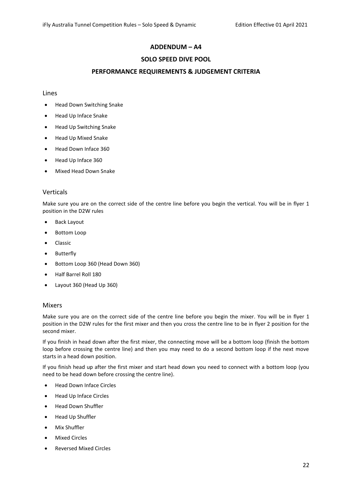# **ADDENDUM – A4**

# **SOLO SPEED DIVE POOL**

# **PERFORMANCE REQUIREMENTS & JUDGEMENT CRITERIA**

#### Lines

- Head Down Switching Snake
- Head Up Inface Snake
- Head Up Switching Snake
- Head Up Mixed Snake
- Head Down Inface 360
- Head Up Inface 360
- Mixed Head Down Snake

# Verticals

Make sure you are on the correct side of the centre line before you begin the vertical. You will be in flyer 1 position in the D2W rules

- Back Layout
- Bottom Loop
- Classic
- Butterfly
- Bottom Loop 360 (Head Down 360)
- Half Barrel Roll 180
- Layout 360 (Head Up 360)

#### Mixers

Make sure you are on the correct side of the centre line before you begin the mixer. You will be in flyer 1 position in the D2W rules for the first mixer and then you cross the centre line to be in flyer 2 position for the second mixer.

If you finish in head down after the first mixer, the connecting move will be a bottom loop (finish the bottom loop before crossing the centre line) and then you may need to do a second bottom loop if the next move starts in a head down position.

If you finish head up after the first mixer and start head down you need to connect with a bottom loop (you need to be head down before crossing the centre line).

- Head Down Inface Circles
- Head Up Inface Circles
- Head Down Shuffler
- Head Up Shuffler
- Mix Shuffler
- Mixed Circles
- Reversed Mixed Circles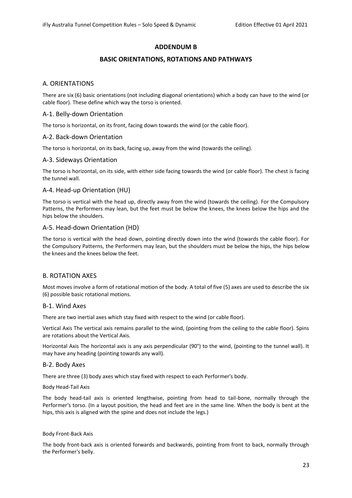# **ADDENDUM B**

# **BASIC ORIENTATIONS, ROTATIONS AND PATHWAYS**

# A. ORIENTATIONS

There are six (6) basic orientations (not including diagonal orientations) which a body can have to the wind (or cable floor). These define which way the torso is oriented.

#### A-1. Belly-down Orientation

The torso is horizontal, on its front, facing down towards the wind (or the cable floor).

# A-2. Back-down Orientation

The torso is horizontal, on its back, facing up, away from the wind (towards the ceiling).

# A-3. Sideways Orientation

The torso is horizontal, on its side, with either side facing towards the wind (or cable floor). The chest is facing the tunnel wall.

# A-4. Head-up Orientation (HU)

The torso is vertical with the head up, directly away from the wind (towards the ceiling). For the Compulsory Patterns, the Performers may lean, but the feet must be below the knees, the knees below the hips and the hips below the shoulders.

#### A-5. Head-down Orientation (HD)

The torso is vertical with the head down, pointing directly down into the wind (towards the cable floor). For the Compulsory Patterns, the Performers may lean, but the shoulders must be below the hips, the hips below the knees and the knees below the feet.

# B. ROTATION AXES

Most moves involve a form of rotational motion of the body. A total of five (5) axes are used to describe the six (6) possible basic rotational motions.

#### B-1. Wind Axes

There are two inertial axes which stay fixed with respect to the wind (or cable floor).

Vertical Axis The vertical axis remains parallel to the wind, (pointing from the ceiling to the cable floor). Spins are rotations about the Vertical Axis.

Horizontal Axis The horizontal axis is any axis perpendicular (90°) to the wind, (pointing to the tunnel wall). It may have any heading (pointing towards any wall).

#### B-2. Body Axes

There are three (3) body axes which stay fixed with respect to each Performer's body.

#### Body Head-Tail Axis

The body head-tail axis is oriented lengthwise, pointing from head to tail-bone, normally through the Performer's torso. (In a layout position, the head and feet are in the same line. When the body is bent at the hips, this axis is aligned with the spine and does not include the legs.)

#### Body Front-Back Axis

The body front-back axis is oriented forwards and backwards, pointing from front to back, normally through the Performer's belly.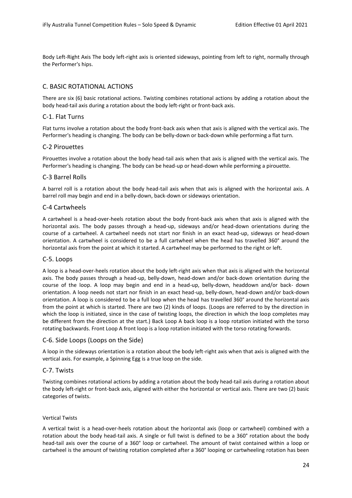Body Left-Right Axis The body left-right axis is oriented sideways, pointing from left to right, normally through the Performer's hips.

# C. BASIC ROTATIONAL ACTIONS

There are six (6) basic rotational actions. Twisting combines rotational actions by adding a rotation about the body head-tail axis during a rotation about the body left-right or front-back axis.

# C-1. Flat Turns

Flat turns involve a rotation about the body front-back axis when that axis is aligned with the vertical axis. The Performer's heading is changing. The body can be belly-down or back-down while performing a flat turn.

# C-2 Pirouettes

Pirouettes involve a rotation about the body head-tail axis when that axis is aligned with the vertical axis. The Performer's heading is changing. The body can be head-up or head-down while performing a pirouette.

# C-3 Barrel Rolls

A barrel roll is a rotation about the body head-tail axis when that axis is aligned with the horizontal axis. A barrel roll may begin and end in a belly-down, back-down or sideways orientation.

#### C-4 Cartwheels

A cartwheel is a head-over-heels rotation about the body front-back axis when that axis is aligned with the horizontal axis. The body passes through a head-up, sideways and/or head-down orientations during the course of a cartwheel. A cartwheel needs not start nor finish in an exact head-up, sideways or head-down orientation. A cartwheel is considered to be a full cartwheel when the head has travelled 360° around the horizontal axis from the point at which it started. A cartwheel may be performed to the right or left.

#### C-5. Loops

A loop is a head-over-heels rotation about the body left-right axis when that axis is aligned with the horizontal axis. The body passes through a head-up, belly-down, head-down and/or back-down orientation during the course of the loop. A loop may begin and end in a head-up, belly-down, headdown and/or back- down orientation. A loop needs not start nor finish in an exact head-up, belly-down, head-down and/or back-down orientation. A loop is considered to be a full loop when the head has travelled 360° around the horizontal axis from the point at which is started. There are two (2) kinds of loops. (Loops are referred to by the direction in which the loop is initiated, since in the case of twisting loops, the direction in which the loop completes may be different from the direction at the start.) Back Loop A back loop is a loop rotation initiated with the torso rotating backwards. Front Loop A front loop is a loop rotation initiated with the torso rotating forwards.

#### C-6. Side Loops (Loops on the Side)

A loop in the sideways orientation is a rotation about the body left-right axis when that axis is aligned with the vertical axis. For example, a Spinning Egg is a true loop on the side.

#### C-7. Twists

Twisting combines rotational actions by adding a rotation about the body head-tail axis during a rotation about the body left-right or front-back axis, aligned with either the horizontal or vertical axis. There are two (2) basic categories of twists.

#### Vertical Twists

A vertical twist is a head-over-heels rotation about the horizontal axis (loop or cartwheel) combined with a rotation about the body head-tail axis. A single or full twist is defined to be a 360° rotation about the body head-tail axis over the course of a 360° loop or cartwheel. The amount of twist contained within a loop or cartwheel is the amount of twisting rotation completed after a 360° looping or cartwheeling rotation has been